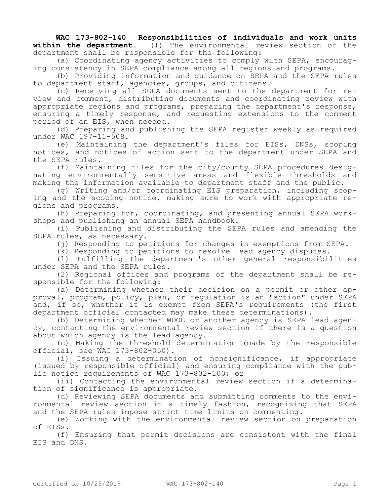**WAC 173-802-140 Responsibilities of individuals and work units within the department.** (1) The environmental review section of the department shall be responsible for the following:

(a) Coordinating agency activities to comply with SEPA, encouraging consistency in SEPA compliance among all regions and programs.

(b) Providing information and guidance on SEPA and the SEPA rules to department staff, agencies, groups, and citizens.

(c) Receiving all SEPA documents sent to the department for review and comment, distributing documents and coordinating review with appropriate regions and programs, preparing the department's response, ensuring a timely response, and requesting extensions to the comment period of an EIS, when needed.

(d) Preparing and publishing the SEPA register weekly as required under WAC 197-11-508.

(e) Maintaining the department's files for EISs, DNSs, scoping notices, and notices of action sent to the department under SEPA and the SEPA rules.

(f) Maintaining files for the city/county SEPA procedures designating environmentally sensitive areas and flexible thresholds and making the information available to department staff and the public.

(g) Writing and/or coordinating EIS preparation, including scoping and the scoping notice, making sure to work with appropriate regions and programs.

(h) Preparing for, coordinating, and presenting annual SEPA workshops and publishing an annual SEPA handbook.

(i) Publishing and distributing the SEPA rules and amending the SEPA rules, as necessary.

(j) Responding to petitions for changes in exemptions from SEPA.

(k) Responding to petitions to resolve lead agency disputes.

(l) Fulfilling the department's other general responsibilities under SEPA and the SEPA rules.

(2) Regional offices and programs of the department shall be responsible for the following:

(a) Determining whether their decision on a permit or other approval, program, policy, plan, or regulation is an "action" under SEPA and, if so, whether it is exempt from SEPA's requirements (the first department official contacted may make these determinations).

(b) Determining whether WDOE or another agency is SEPA lead agency, contacting the environmental review section if there is a question about which agency is the lead agency.

(c) Making the threshold determination (made by the responsible official, see WAC 173-802-050).

(i) Issuing a determination of nonsignificance, if appropriate (issued by responsible official) and ensuring compliance with the public notice requirements of WAC 173-802-100; or

(ii) Contacting the environmental review section if a determination of significance is appropriate.

(d) Reviewing SEPA documents and submitting comments to the environmental review section in a timely fashion, recognizing that SEPA and the SEPA rules impose strict time limits on commenting.

(e) Working with the environmental review section on preparation of EISs.

(f) Ensuring that permit decisions are consistent with the final EIS and DNS.